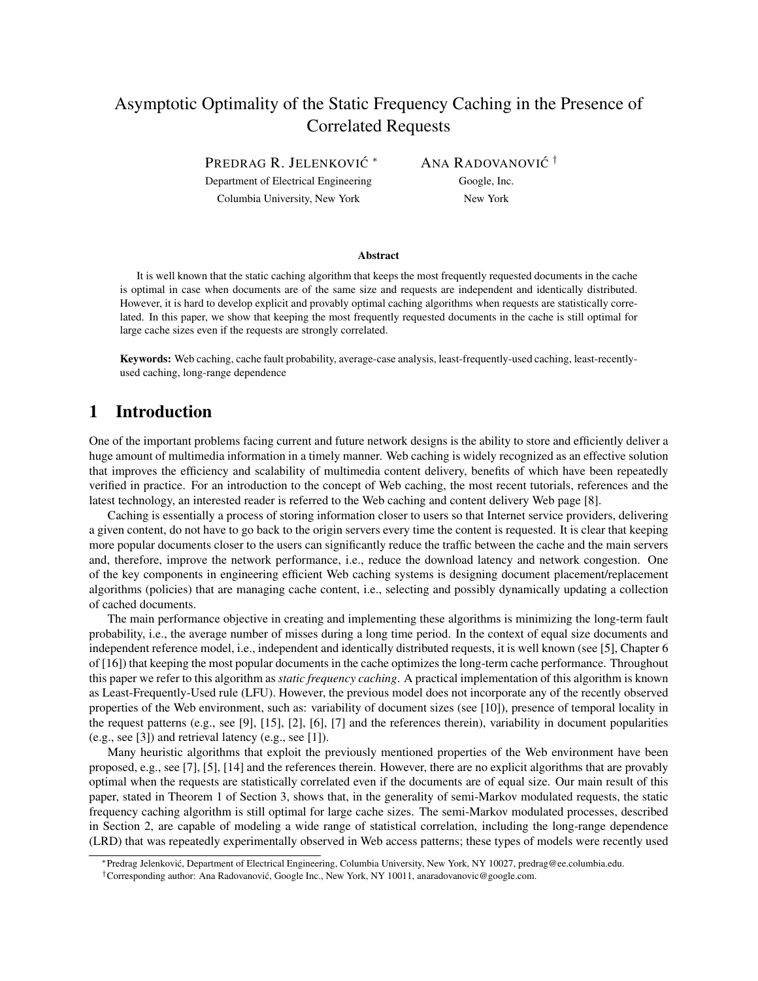# Asymptotic Optimality of the Static Frequency Caching in the Presence of Correlated Requests

PREDRAG R. JELENKOVIĆ<sup>\*</sup>

ANA RADOVANOVIĆ<sup>†</sup>

Department of Electrical Engineering Columbia University, New York

Google, Inc. New York

#### Abstract

It is well known that the static caching algorithm that keeps the most frequently requested documents in the cache is optimal in case when documents are of the same size and requests are independent and identically distributed. However, it is hard to develop explicit and provably optimal caching algorithms when requests are statistically correlated. In this paper, we show that keeping the most frequently requested documents in the cache is still optimal for large cache sizes even if the requests are strongly correlated.

Keywords: Web caching, cache fault probability, average-case analysis, least-frequently-used caching, least-recentlyused caching, long-range dependence

### 1 Introduction

One of the important problems facing current and future network designs is the ability to store and efficiently deliver a huge amount of multimedia information in a timely manner. Web caching is widely recognized as an effective solution that improves the efficiency and scalability of multimedia content delivery, benefits of which have been repeatedly verified in practice. For an introduction to the concept of Web caching, the most recent tutorials, references and the latest technology, an interested reader is referred to the Web caching and content delivery Web page [8].

Caching is essentially a process of storing information closer to users so that Internet service providers, delivering a given content, do not have to go back to the origin servers every time the content is requested. It is clear that keeping more popular documents closer to the users can significantly reduce the traffic between the cache and the main servers and, therefore, improve the network performance, i.e., reduce the download latency and network congestion. One of the key components in engineering efficient Web caching systems is designing document placement/replacement algorithms (policies) that are managing cache content, i.e., selecting and possibly dynamically updating a collection of cached documents.

The main performance objective in creating and implementing these algorithms is minimizing the long-term fault probability, i.e., the average number of misses during a long time period. In the context of equal size documents and independent reference model, i.e., independent and identically distributed requests, it is well known (see [5], Chapter 6 of [16]) that keeping the most popular documents in the cache optimizes the long-term cache performance. Throughout this paper we refer to this algorithm as *static frequency caching*. A practical implementation of this algorithm is known as Least-Frequently-Used rule (LFU). However, the previous model does not incorporate any of the recently observed properties of the Web environment, such as: variability of document sizes (see [10]), presence of temporal locality in the request patterns (e.g., see [9], [15], [2], [6], [7] and the references therein), variability in document popularities (e.g., see [3]) and retrieval latency (e.g., see [1]).

Many heuristic algorithms that exploit the previously mentioned properties of the Web environment have been proposed, e.g., see [7], [5], [14] and the references therein. However, there are no explicit algorithms that are provably optimal when the requests are statistically correlated even if the documents are of equal size. Our main result of this paper, stated in Theorem 1 of Section 3, shows that, in the generality of semi-Markov modulated requests, the static frequency caching algorithm is still optimal for large cache sizes. The semi-Markov modulated processes, described in Section 2, are capable of modeling a wide range of statistical correlation, including the long-range dependence (LRD) that was repeatedly experimentally observed in Web access patterns; these types of models were recently used

<sup>∗</sup>Predrag Jelenkovic, Department of Electrical Engineering, Columbia University, New York, NY 10027, predrag@ee.columbia.edu. ´

<sup>†</sup>Corresponding author: Ana Radovanovic, Google Inc., New York, NY 10011, anaradovanovic@google.com. ´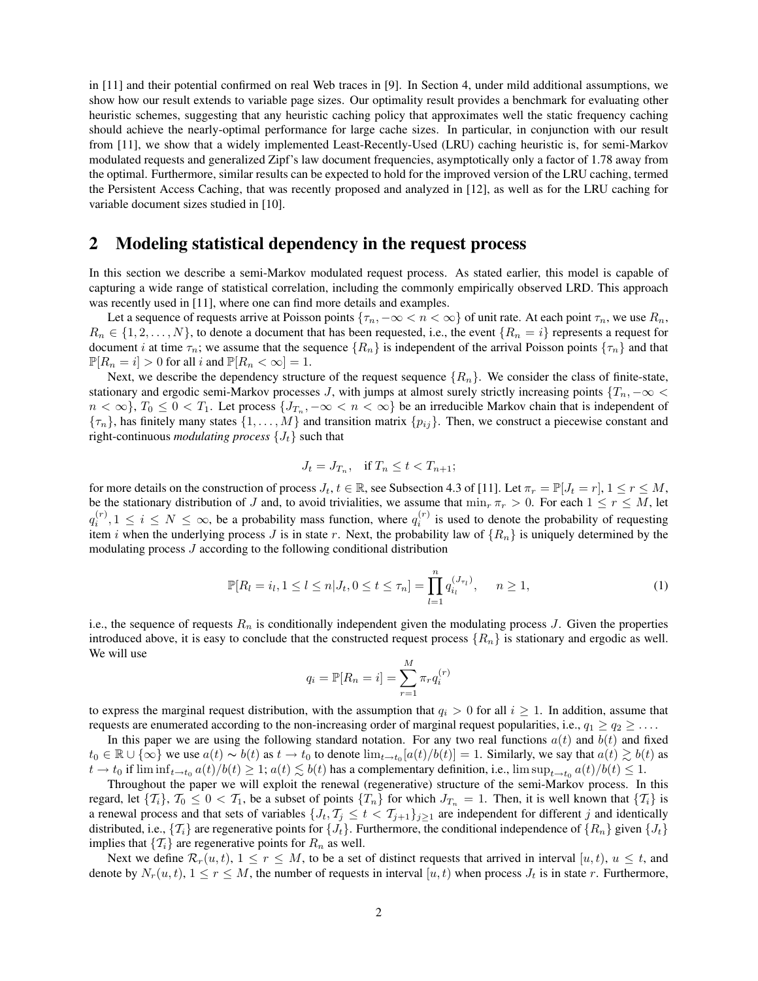in [11] and their potential confirmed on real Web traces in [9]. In Section 4, under mild additional assumptions, we show how our result extends to variable page sizes. Our optimality result provides a benchmark for evaluating other heuristic schemes, suggesting that any heuristic caching policy that approximates well the static frequency caching should achieve the nearly-optimal performance for large cache sizes. In particular, in conjunction with our result from [11], we show that a widely implemented Least-Recently-Used (LRU) caching heuristic is, for semi-Markov modulated requests and generalized Zipf's law document frequencies, asymptotically only a factor of 1.78 away from the optimal. Furthermore, similar results can be expected to hold for the improved version of the LRU caching, termed the Persistent Access Caching, that was recently proposed and analyzed in [12], as well as for the LRU caching for variable document sizes studied in [10].

#### 2 Modeling statistical dependency in the request process

In this section we describe a semi-Markov modulated request process. As stated earlier, this model is capable of capturing a wide range of statistical correlation, including the commonly empirically observed LRD. This approach was recently used in [11], where one can find more details and examples.

Let a sequence of requests arrive at Poisson points { $\tau_n, -\infty < n < \infty$ } of unit rate. At each point  $\tau_n$ , we use  $R_n$ ,  $R_n \in \{1, 2, \ldots, N\}$ , to denote a document that has been requested, i.e., the event  $\{R_n = i\}$  represents a request for document *i* at time  $\tau_n$ ; we assume that the sequence  $\{R_n\}$  is independent of the arrival Poisson points  $\{\tau_n\}$  and that  $\mathbb{P}[R_n = i] > 0$  for all i and  $\mathbb{P}[R_n < \infty] = 1$ .

Next, we describe the dependency structure of the request sequence  $\{R_n\}$ . We consider the class of finite-state, stationary and ergodic semi-Markov processes J, with jumps at almost surely strictly increasing points  ${T_n, -\infty}$  $n < \infty$ ,  $T_0 \leq 0 < T_1$ . Let process  $\{J_{T_n}, -\infty < n < \infty\}$  be an irreducible Markov chain that is independent of  ${\lbrace \tau_n \rbrace}$ , has finitely many states  ${\lbrace 1, \ldots, M \rbrace}$  and transition matrix  ${\lbrace p_{ij} \rbrace}$ . Then, we construct a piecewise constant and right-continuous *modulating process*  $\{J_t\}$  such that

$$
J_t = J_{T_n}, \quad \text{if } T_n \le t < T_{n+1};
$$

for more details on the construction of process  $J_t$ ,  $t \in \mathbb{R}$ , see Subsection 4.3 of [11]. Let  $\pi_r = \mathbb{P}[J_t = r]$ ,  $1 \le r \le M$ , be the stationary distribution of J and, to avoid trivialities, we assume that  $\min_r \pi_r > 0$ . For each  $1 \le r \le M$ , let  $q_i^{(r)}$ ,  $1 \le i \le N \le \infty$ , be a probability mass function, where  $q_i^{(r)}$  is used to denote the probability of requesting item i when the underlying process J is in state r. Next, the probability law of  $\{R_n\}$  is uniquely determined by the modulating process J according to the following conditional distribution

$$
\mathbb{P}[R_l = i_l, 1 \le l \le n | J_t, 0 \le t \le \tau_n] = \prod_{l=1}^n q_{i_l}^{(J_{\tau_l})}, \quad n \ge 1,
$$
\n(1)

i.e., the sequence of requests  $R_n$  is conditionally independent given the modulating process J. Given the properties introduced above, it is easy to conclude that the constructed request process  $\{R_n\}$  is stationary and ergodic as well. We will use

$$
q_i = \mathbb{P}[R_n = i] = \sum_{r=1}^{M} \pi_r q_i^{(r)}
$$

to express the marginal request distribution, with the assumption that  $q_i > 0$  for all  $i \ge 1$ . In addition, assume that requests are enumerated according to the non-increasing order of marginal request popularities, i.e.,  $q_1 \geq q_2 \geq \ldots$ 

In this paper we are using the following standard notation. For any two real functions  $a(t)$  and  $b(t)$  and fixed  $t_0 \in \mathbb{R} \cup \{\infty\}$  we use  $a(t) \sim b(t)$  as  $t \to t_0$  to denote  $\lim_{t \to t_0} [a(t)/b(t)] = 1$ . Similarly, we say that  $a(t) \gtrsim b(t)$  as  $t \to t_0$  if lim inf $t_{t\to t_0} a(t)/b(t) \geq 1$ ;  $a(t) \lesssim b(t)$  has a complementary definition, i.e., lim sup $t_{t\to t_0} a(t)/b(t) \leq 1$ .

Throughout the paper we will exploit the renewal (regenerative) structure of the semi-Markov process. In this regard, let  $\{T_i\}$ ,  $T_0 \leq 0 < T_1$ , be a subset of points  $\{T_n\}$  for which  $J_{T_n} = 1$ . Then, it is well known that  $\{T_i\}$  is a renewal process and that sets of variables  $\{J_t, T_j \le t < T_{j+1}\}_{j\ge 1}$  are independent for different j and identically distributed, i.e.,  $\{T_i\}$  are regenerative points for  $\{J_t\}$ . Furthermore, the conditional independence of  $\{R_n\}$  given  $\{J_t\}$ implies that  $\{\mathcal{T}_i\}$  are regenerative points for  $R_n$  as well.

Next we define  $\mathcal{R}_r(u, t)$ ,  $1 \leq r \leq M$ , to be a set of distinct requests that arrived in interval  $[u, t)$ ,  $u \leq t$ , and denote by  $N_r(u, t)$ ,  $1 \le r \le M$ , the number of requests in interval  $[u, t)$  when process  $J_t$  is in state r. Furthermore,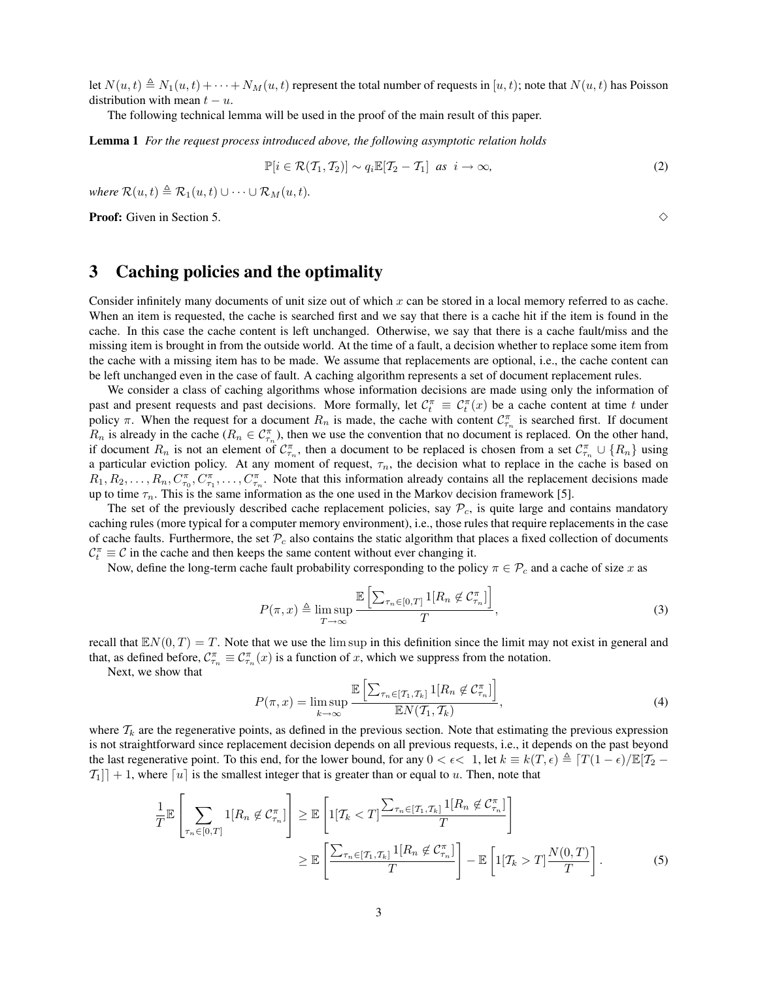let  $N(u, t) \triangleq N_1(u, t) + \cdots + N_M(u, t)$  represent the total number of requests in  $(u, t)$ ; note that  $N(u, t)$  has Poisson distribution with mean  $t - u$ .

The following technical lemma will be used in the proof of the main result of this paper.

Lemma 1 *For the request process introduced above, the following asymptotic relation holds*

$$
\mathbb{P}[i \in \mathcal{R}(\mathcal{T}_1, \mathcal{T}_2)] \sim q_i \mathbb{E}[\mathcal{T}_2 - \mathcal{T}_1] \text{ as } i \to \infty,
$$
\n(2)

*where*  $\mathcal{R}(u, t) \triangleq \mathcal{R}_1(u, t) \cup \cdots \cup \mathcal{R}_M(u, t)$ .

**Proof:** Given in Section 5.  $\Diamond$ 

3 Caching policies and the optimality

Consider infinitely many documents of unit size out of which  $x$  can be stored in a local memory referred to as cache. When an item is requested, the cache is searched first and we say that there is a cache hit if the item is found in the cache. In this case the cache content is left unchanged. Otherwise, we say that there is a cache fault/miss and the missing item is brought in from the outside world. At the time of a fault, a decision whether to replace some item from the cache with a missing item has to be made. We assume that replacements are optional, i.e., the cache content can be left unchanged even in the case of fault. A caching algorithm represents a set of document replacement rules.

We consider a class of caching algorithms whose information decisions are made using only the information of past and present requests and past decisions. More formally, let  $C_t^{\pi} \equiv C_t^{\pi}(x)$  be a cache content at time t under policy  $\pi$ . When the request for a document  $R_n$  is made, the cache with content  $C_{\tau_n}^{\pi}$  is searched first. If document  $R_n$  is already in the cache ( $R_n \in C_{\tau_n}$ ), then we use the convention that no document is replaced. On the other hand, if document  $R_n$  is not an element of  $C_{\tau_n}^{\pi}$ , then a document to be replaced is chosen from a set  $C_{\tau_n}^{\pi} \cup \{R_n\}$  using a particular eviction policy. At any moment of request,  $\tau_n$ , the decision what to replace in the cache is based on  $R_1, R_2, \ldots, R_n, C_{\tau_0}^{\pi}, C_{\tau_1}^{\pi}, \ldots, C_{\tau_n}^{\pi}$ . Note that this information already contains all the replacement decisions made up to time  $\tau_n$ . This is the same information as the one used in the Markov decision framework [5].

The set of the previously described cache replacement policies, say  $P_c$ , is quite large and contains mandatory caching rules (more typical for a computer memory environment), i.e., those rules that require replacements in the case of cache faults. Furthermore, the set  $P_c$  also contains the static algorithm that places a fixed collection of documents  $\mathcal{C}_t^{\pi} \equiv \mathcal{C}$  in the cache and then keeps the same content without ever changing it.

Now, define the long-term cache fault probability corresponding to the policy  $\pi \in \mathcal{P}_c$  and a cache of size x as

$$
P(\pi, x) \triangleq \limsup_{T \to \infty} \frac{\mathbb{E}\left[\sum_{\tau_n \in [0,T]} \mathbb{1}[R_n \notin \mathcal{C}_{\tau_n}^{\pi}]\right]}{T},\tag{3}
$$

recall that  $EN(0, T) = T$ . Note that we use the lim sup in this definition since the limit may not exist in general and that, as defined before,  $C_{\tau_n}^{\pi} \equiv C_{\tau_n}^{\pi}(x)$  is a function of x, which we suppress from the notation.

Next, we show that

$$
P(\pi, x) = \limsup_{k \to \infty} \frac{\mathbb{E}\left[\sum_{\tau_n \in [T_1, T_k]} 1[R_n \notin \mathcal{C}^{\pi}_{\tau_n}]\right]}{\mathbb{E}N(\mathcal{T}_1, \mathcal{T}_k)},
$$
\n(4)

where  $\mathcal{T}_k$  are the regenerative points, as defined in the previous section. Note that estimating the previous expression is not straightforward since replacement decision depends on all previous requests, i.e., it depends on the past beyond the last regenerative point. To this end, for the lower bound, for any  $0 < \epsilon < 1$ , let  $k \equiv k(T, \epsilon) \triangleq [T(1 - \epsilon)/\mathbb{E}[T_2 - \epsilon]$  $T_1$ , where  $[u]$  is the smallest integer that is greater than or equal to u. Then, note that

$$
\frac{1}{T} \mathbb{E} \left[ \sum_{\tau_n \in [0,T]} \mathbb{1}[R_n \not\in \mathcal{C}_{\tau_n}^{\pi}] \right] \geq \mathbb{E} \left[ \mathbb{1}[T_k < T] \frac{\sum_{\tau_n \in [T_1, T_k]} \mathbb{1}[R_n \not\in \mathcal{C}_{\tau_n}^{\pi}]}{T} \right] \\
\geq \mathbb{E} \left[ \frac{\sum_{\tau_n \in [T_1, T_k]} \mathbb{1}[R_n \not\in \mathcal{C}_{\tau_n}^{\pi}]}{T} \right] - \mathbb{E} \left[ \mathbb{1}[T_k > T] \frac{N(0,T)}{T} \right].\n\tag{5}
$$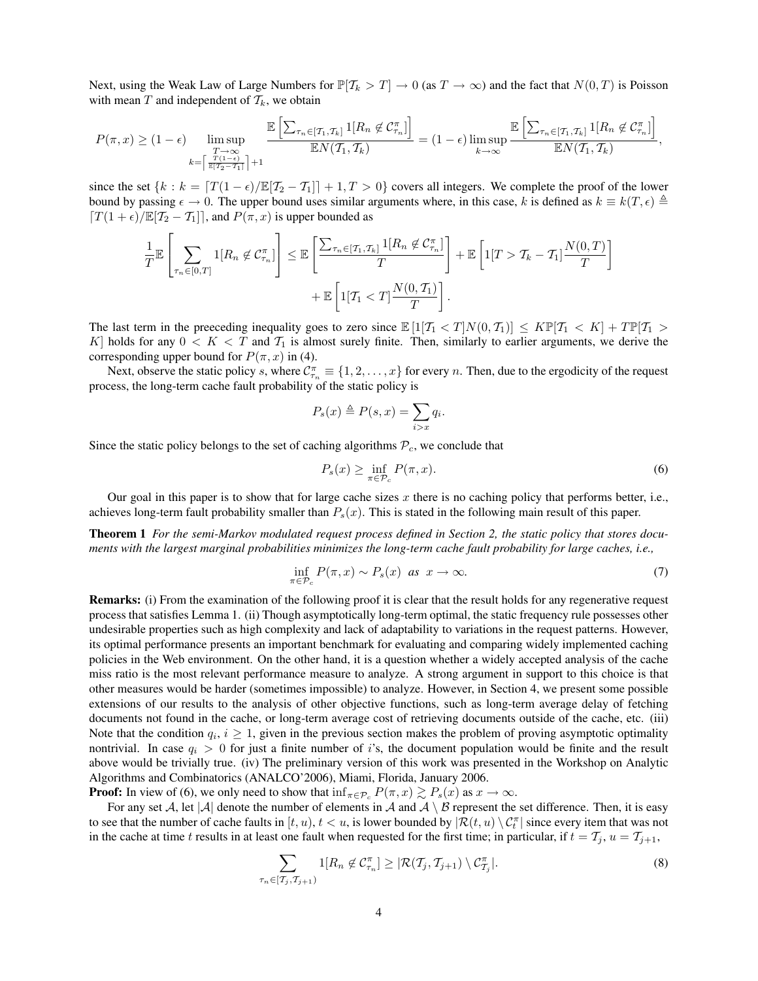Next, using the Weak Law of Large Numbers for  $\mathbb{P}[\mathcal{T}_k > T] \to 0$  (as  $T \to \infty$ ) and the fact that  $N(0, T)$  is Poisson with mean  $T$  and independent of  $\mathcal{T}_k$ , we obtain

$$
P(\pi, x) \geq (1 - \epsilon) \limsup_{\substack{T \to \infty \\ k = \left\lceil \frac{T(1 - \epsilon)}{\mathbb{E}[T_2 - T_1]}\right\rceil + 1}} \frac{\mathbb{E}\left[\sum_{\tau_n \in [T_1, T_k]} 1[R_n \notin \mathcal{C}^\pi_{\tau_n}]\right]}{\mathbb{E}N(T_1, T_k)} = (1 - \epsilon) \limsup_{k \to \infty} \frac{\mathbb{E}\left[\sum_{\tau_n \in [T_1, T_k]} 1[R_n \notin \mathcal{C}^\pi_{\tau_n}]\right]}{\mathbb{E}N(T_1, T_k)},
$$

since the set  ${k : k = [T(1 - \epsilon)/\mathbb{E}[T_2 - T_1]] + 1, T > 0}$  covers all integers. We complete the proof of the lower bound by passing  $\epsilon \to 0$ . The upper bound uses similar arguments where, in this case, k is defined as  $k \equiv k(T, \epsilon) \triangleq$  $[T(1 + \epsilon)/\mathbb{E}[T_2 - T_1]]$ , and  $P(\pi, x)$  is upper bounded as

$$
\frac{1}{T}\mathbb{E}\left[\sum_{\tau_n\in[0,T]}1[R_n\not\in\mathcal{C}_{\tau_n}^{\pi}]\right] \leq \mathbb{E}\left[\frac{\sum_{\tau_n\in[T_1,T_k]}1[R_n\not\in\mathcal{C}_{\tau_n}^{\pi}]}{T}\right] + \mathbb{E}\left[1[T>\mathcal{T}_k-\mathcal{T}_1]\frac{N(0,T)}{T}\right] + \mathbb{E}\left[1[T>\mathcal{T}_k-\mathcal{T}_1]\frac{N(0,T)}{T}\right].
$$

The last term in the preeceding inequality goes to zero since  $\mathbb{E}[1|T_1 < T|N(0,T_1)] \leq K \mathbb{P}[T_1 < K] + T \mathbb{P}[T_1 > K]$ K holds for any  $0 < K < T$  and  $T_1$  is almost surely finite. Then, similarly to earlier arguments, we derive the corresponding upper bound for  $P(\pi, x)$  in (4).

Next, observe the static policy s, where  $\mathcal{C}_{\tau_n}^{\pi} \equiv \{1, 2, \ldots, x\}$  for every n. Then, due to the ergodicity of the request process, the long-term cache fault probability of the static policy is

$$
P_s(x) \triangleq P(s, x) = \sum_{i > x} q_i.
$$

Since the static policy belongs to the set of caching algorithms  $P_c$ , we conclude that

$$
P_s(x) \ge \inf_{\pi \in \mathcal{P}_c} P(\pi, x). \tag{6}
$$

Our goal in this paper is to show that for large cache sizes  $x$  there is no caching policy that performs better, i.e., achieves long-term fault probability smaller than  $P_s(x)$ . This is stated in the following main result of this paper.

Theorem 1 *For the semi-Markov modulated request process defined in Section 2, the static policy that stores documents with the largest marginal probabilities minimizes the long-term cache fault probability for large caches, i.e.,*

$$
\inf_{\pi \in \mathcal{P}_c} P(\pi, x) \sim P_s(x) \quad \text{as} \quad x \to \infty. \tag{7}
$$

Remarks: (i) From the examination of the following proof it is clear that the result holds for any regenerative request process that satisfies Lemma 1. (ii) Though asymptotically long-term optimal, the static frequency rule possesses other undesirable properties such as high complexity and lack of adaptability to variations in the request patterns. However, its optimal performance presents an important benchmark for evaluating and comparing widely implemented caching policies in the Web environment. On the other hand, it is a question whether a widely accepted analysis of the cache miss ratio is the most relevant performance measure to analyze. A strong argument in support to this choice is that other measures would be harder (sometimes impossible) to analyze. However, in Section 4, we present some possible extensions of our results to the analysis of other objective functions, such as long-term average delay of fetching documents not found in the cache, or long-term average cost of retrieving documents outside of the cache, etc. (iii) Note that the condition  $q_i$ ,  $i \geq 1$ , given in the previous section makes the problem of proving asymptotic optimality nontrivial. In case  $q_i > 0$  for just a finite number of i's, the document population would be finite and the result above would be trivially true. (iv) The preliminary version of this work was presented in the Workshop on Analytic Algorithms and Combinatorics (ANALCO'2006), Miami, Florida, January 2006.

**Proof:** In view of (6), we only need to show that  $\inf_{\pi \in \mathcal{P}_c} P(\pi, x) \gtrsim P_s(x)$  as  $x \to \infty$ .

For any set A, let |A| denote the number of elements in A and  $\mathcal{A} \setminus \mathcal{B}$  represent the set difference. Then, it is easy to see that the number of cache faults in  $[t, u), t < u$ , is lower bounded by  $\Re(t, u) \Re(t, u) \Re(t, u)$  is ince every item that was not in the cache at time t results in at least one fault when requested for the first time; in particular, if  $t = T_j$ ,  $u = T_{j+1}$ ,

$$
\sum_{\tau_n \in [T_j, T_{j+1})} 1[R_n \not\in C_{\tau_n}^\pi] \ge |\mathcal{R}(T_j, T_{j+1}) \setminus C_{T_j}^\pi|.
$$
\n(8)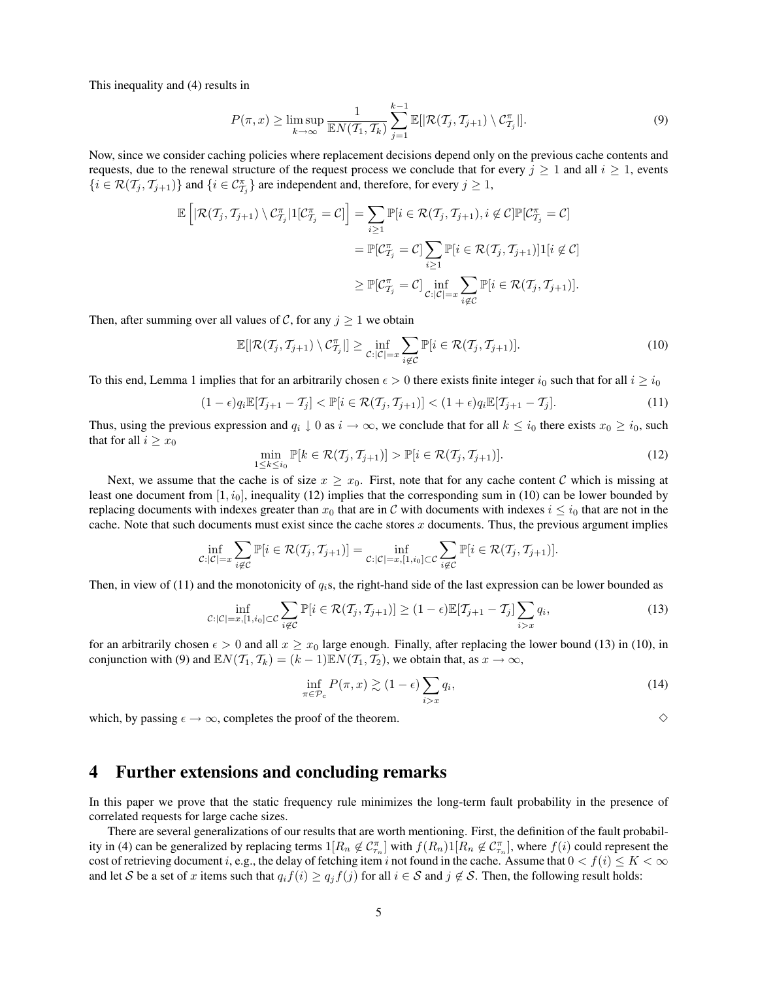This inequality and (4) results in

$$
P(\pi, x) \ge \limsup_{k \to \infty} \frac{1}{\mathbb{E}N(\mathcal{T}_1, \mathcal{T}_k)} \sum_{j=1}^{k-1} \mathbb{E}[|\mathcal{R}(\mathcal{T}_j, \mathcal{T}_{j+1}) \setminus \mathcal{C}^{\pi}_{\mathcal{T}_j}|].
$$
\n(9)

Now, since we consider caching policies where replacement decisions depend only on the previous cache contents and requests, due to the renewal structure of the request process we conclude that for every  $j \ge 1$  and all  $i \ge 1$ , events  $\{i \in \mathcal{R}(T_j, T_{j+1})\}$  and  $\{i \in \mathcal{C}_{T_j}^{\pi}\}\$  are independent and, therefore, for every  $j \geq 1$ ,

$$
\mathbb{E}\left[|\mathcal{R}(\mathcal{T}_j, \mathcal{T}_{j+1}) \setminus \mathcal{C}^{\pi}_{\mathcal{T}_j}|1[\mathcal{C}^{\pi}_{\mathcal{T}_j} = \mathcal{C}]\right] = \sum_{i \geq 1} \mathbb{P}[i \in \mathcal{R}(\mathcal{T}_j, \mathcal{T}_{j+1}), i \notin \mathcal{C}] \mathbb{P}[\mathcal{C}^{\pi}_{\mathcal{T}_j} = \mathcal{C}]
$$
  
\n
$$
= \mathbb{P}[\mathcal{C}^{\pi}_{\mathcal{T}_j} = \mathcal{C}] \sum_{i \geq 1} \mathbb{P}[i \in \mathcal{R}(\mathcal{T}_j, \mathcal{T}_{j+1})]1[i \notin \mathcal{C}]
$$
  
\n
$$
\geq \mathbb{P}[\mathcal{C}^{\pi}_{\mathcal{T}_j} = \mathcal{C}] \inf_{\mathcal{C}: |\mathcal{C}| = x} \sum_{i \notin \mathcal{C}} \mathbb{P}[i \in \mathcal{R}(\mathcal{T}_j, \mathcal{T}_{j+1})].
$$

Then, after summing over all values of C, for any  $j \ge 1$  we obtain

$$
\mathbb{E}[|\mathcal{R}(\mathcal{T}_j, \mathcal{T}_{j+1}) \setminus \mathcal{C}_{\mathcal{T}_j}^{\pi}|] \ge \inf_{\mathcal{C}:|\mathcal{C}|=x} \sum_{i \notin \mathcal{C}} \mathbb{P}[i \in \mathcal{R}(\mathcal{T}_j, \mathcal{T}_{j+1})]. \tag{10}
$$

To this end, Lemma 1 implies that for an arbitrarily chosen  $\epsilon > 0$  there exists finite integer  $i_0$  such that for all  $i \ge i_0$ 

$$
(1 - \epsilon)q_i \mathbb{E}[T_{j+1} - T_j] < \mathbb{P}[i \in \mathcal{R}(T_j, T_{j+1})] < (1 + \epsilon)q_i \mathbb{E}[T_{j+1} - T_j].\tag{11}
$$

Thus, using the previous expression and  $q_i \downarrow 0$  as  $i \to \infty$ , we conclude that for all  $k \leq i_0$  there exists  $x_0 \geq i_0$ , such that for all  $i \geq x_0$ 

$$
\min_{1 \le k \le i_0} \mathbb{P}[k \in \mathcal{R}(\mathcal{T}_j, \mathcal{T}_{j+1})] > \mathbb{P}[i \in \mathcal{R}(\mathcal{T}_j, \mathcal{T}_{j+1})]. \tag{12}
$$

Next, we assume that the cache is of size  $x \ge x_0$ . First, note that for any cache content C which is missing at least one document from  $[1, i_0]$ , inequality (12) implies that the corresponding sum in (10) can be lower bounded by replacing documents with indexes greater than  $x_0$  that are in C with documents with indexes  $i \leq i_0$  that are not in the cache. Note that such documents must exist since the cache stores x documents. Thus, the previous argument implies

$$
\inf_{\mathcal{C}:|\mathcal{C}|=x}\sum_{i\not\in\mathcal{C}}\mathbb{P}[i\in\mathcal{R}(\mathcal{T}_j,\mathcal{T}_{j+1})]=\inf_{\mathcal{C}:|\mathcal{C}|=x,[1,i_0]\subset\mathcal{C}}\sum_{i\not\in\mathcal{C}}\mathbb{P}[i\in\mathcal{R}(\mathcal{T}_j,\mathcal{T}_{j+1})].
$$

Then, in view of (11) and the monotonicity of  $q_i$ s, the right-hand side of the last expression can be lower bounded as

$$
\inf_{\mathcal{C}:|\mathcal{C}|=x,[1,i_0]\subset\mathcal{C}}\sum_{i\notin\mathcal{C}}\mathbb{P}[i\in\mathcal{R}(\mathcal{T}_j,\mathcal{T}_{j+1})]\geq(1-\epsilon)\mathbb{E}[\mathcal{T}_{j+1}-\mathcal{T}_j]\sum_{i>x}q_i,
$$
\n(13)

for an arbitrarily chosen  $\epsilon > 0$  and all  $x \ge x_0$  large enough. Finally, after replacing the lower bound (13) in (10), in conjunction with (9) and  $\mathbb{E}N(\mathcal{T}_1, \mathcal{T}_k) = (k-1)\mathbb{E}N(\mathcal{T}_1, \mathcal{T}_2)$ , we obtain that, as  $x \to \infty$ ,

$$
\inf_{\pi \in \mathcal{P}_c} P(\pi, x) \gtrsim (1 - \epsilon) \sum_{i > x} q_i,\tag{14}
$$

which, by passing  $\epsilon \to \infty$ , completes the proof of the theorem.  $\diamond$ 

#### 4 Further extensions and concluding remarks

In this paper we prove that the static frequency rule minimizes the long-term fault probability in the presence of correlated requests for large cache sizes.

There are several generalizations of our results that are worth mentioning. First, the definition of the fault probability in (4) can be generalized by replacing terms  $1[R_n \notin C_{\tau_n}^{\pi}]$  with  $f(R_n)1[R_n \notin C_{\tau_n}^{\pi}]$ , where  $f(i)$  could represent the cost of retrieving document i, e.g., the delay of fetching item i not found in the cache. Assume that  $0 < f(i) \leq K < \infty$ and let S be a set of x items such that  $q_i f(i) \geq q_j f(j)$  for all  $i \in S$  and  $j \notin S$ . Then, the following result holds: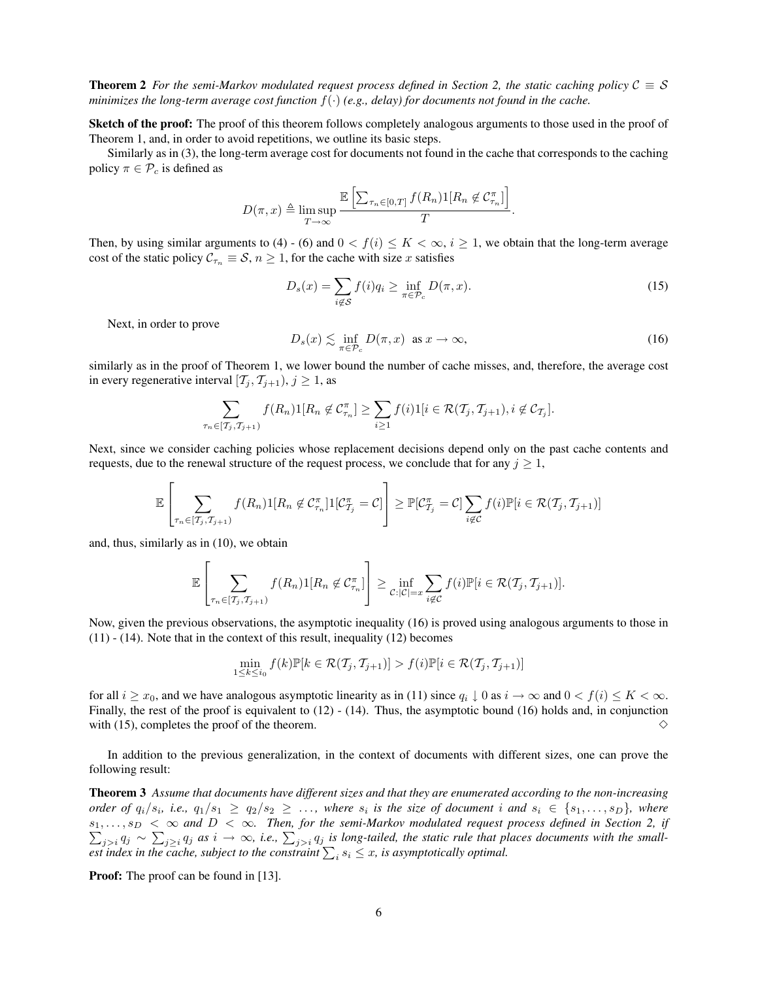**Theorem 2** *For the semi-Markov modulated request process defined in Section 2, the static caching policy*  $C \equiv S$ *minimizes the long-term average cost function* f(·) *(e.g., delay) for documents not found in the cache.*

Sketch of the proof: The proof of this theorem follows completely analogous arguments to those used in the proof of Theorem 1, and, in order to avoid repetitions, we outline its basic steps.

Similarly as in (3), the long-term average cost for documents not found in the cache that corresponds to the caching policy  $\pi \in \mathcal{P}_c$  is defined as

$$
D(\pi, x) \triangleq \limsup_{T \to \infty} \frac{\mathbb{E}\left[\sum_{\tau_n \in [0,T]} f(R_n) 1[R_n \not\in C_{\tau_n}^{\pi}]\right]}{T}.
$$

Then, by using similar arguments to (4) - (6) and  $0 < f(i) \leq K < \infty$ ,  $i \geq 1$ , we obtain that the long-term average cost of the static policy  $C_{\tau_n} \equiv S, n \ge 1$ , for the cache with size x satisfies

$$
D_s(x) = \sum_{i \notin S} f(i)q_i \ge \inf_{\pi \in \mathcal{P}_c} D(\pi, x). \tag{15}
$$

Next, in order to prove

$$
D_s(x) \lesssim \inf_{\pi \in \mathcal{P}_c} D(\pi, x) \quad \text{as } x \to \infty,
$$
\n(16)

similarly as in the proof of Theorem 1, we lower bound the number of cache misses, and, therefore, the average cost in every regenerative interval  $[\mathcal{T}_j, \mathcal{T}_{j+1}), j \geq 1$ , as

$$
\sum_{\tau_n \in [T_j, T_{j+1})} f(R_n) 1[R_n \not\in C_{\tau_n}^\pi] \ge \sum_{i \ge 1} f(i) 1[i \in \mathcal{R}(T_j, T_{j+1}), i \not\in C_{T_j}].
$$

Next, since we consider caching policies whose replacement decisions depend only on the past cache contents and requests, due to the renewal structure of the request process, we conclude that for any  $j \geq 1$ ,

$$
\mathbb{E}\left[\sum_{\tau_n\in[\mathcal{T}_j,\mathcal{T}_{j+1})}f(R_n)1[R_n\not\in\mathcal{C}^\pi_{\tau_n}]1[\mathcal{C}^\pi_{\mathcal{T}_j}=\mathcal{C}]\right]\geq \mathbb{P}[\mathcal{C}^\pi_{\mathcal{T}_j}=\mathcal{C}]\sum_{i\not\in\mathcal{C}}f(i)\mathbb{P}[i\in\mathcal{R}(\mathcal{T}_j,\mathcal{T}_{j+1})]
$$

and, thus, similarly as in (10), we obtain

$$
\mathbb{E}\left[\sum_{\tau_n\in[T_j,T_{j+1})}f(R_n)\mathbb{1}[R_n\not\in\mathcal{C}^{\pi}_{\tau_n}]\right]\geq\inf_{\mathcal{C}:|\mathcal{C}|=x}\sum_{i\not\in\mathcal{C}}f(i)\mathbb{P}[i\in\mathcal{R}(\mathcal{T}_j,\mathcal{T}_{j+1})].
$$

Now, given the previous observations, the asymptotic inequality (16) is proved using analogous arguments to those in (11) - (14). Note that in the context of this result, inequality (12) becomes

$$
\min_{1 \leq k \leq i_0} f(k) \mathbb{P}[k \in \mathcal{R}(\mathcal{T}_j, \mathcal{T}_{j+1})] > f(i) \mathbb{P}[i \in \mathcal{R}(\mathcal{T}_j, \mathcal{T}_{j+1})]
$$

for all  $i \geq x_0$ , and we have analogous asymptotic linearity as in (11) since  $q_i \downarrow 0$  as  $i \to \infty$  and  $0 < f(i) \leq K < \infty$ . Finally, the rest of the proof is equivalent to (12) - (14). Thus, the asymptotic bound (16) holds and, in conjunction with  $(15)$ , completes the proof of the theorem.

In addition to the previous generalization, in the context of documents with different sizes, one can prove the following result:

Theorem 3 *Assume that documents have different sizes and that they are enumerated according to the non-increasing order of*  $q_i/s_i$ , *i.e.*,  $q_1/s_1 \geq q_2/s_2 \geq \ldots$ , where  $s_i$  *is the size of document i and*  $s_i \in \{s_1,\ldots,s_D\}$ , where  $\sum_{j>i} q_j \sim \sum_{j\geq i} q_j$  *as*  $i \to \infty$ , *i.e.*,  $\sum_{j>i} q_j$  *is long-tailed, the static rule that places documents with the small* $s_1, \ldots, s_D < \infty$  and  $D < \infty$ . Then, for the semi-Markov modulated request process defined in Section 2, if *est index in the cache, subject to the constraint*  $\sum_i s_i \leq x$ , *is asymptotically optimal.* 

**Proof:** The proof can be found in [13].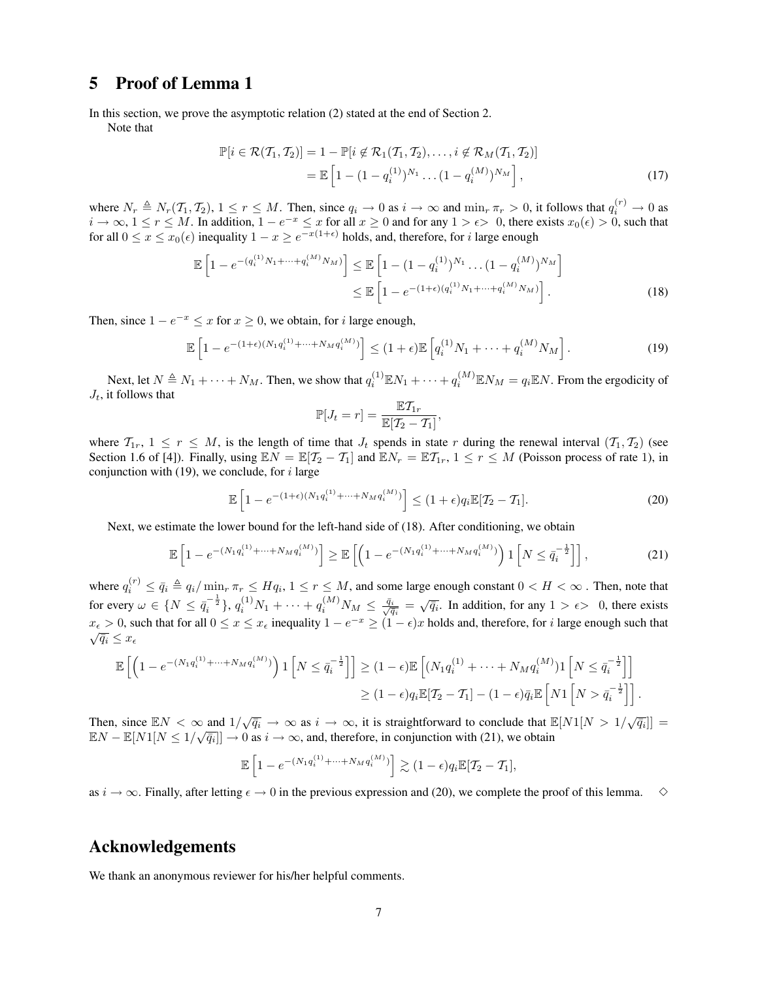## 5 Proof of Lemma 1

In this section, we prove the asymptotic relation (2) stated at the end of Section 2.

Note that

$$
\mathbb{P}[i \in \mathcal{R}(\mathcal{T}_1, \mathcal{T}_2)] = 1 - \mathbb{P}[i \notin \mathcal{R}_1(\mathcal{T}_1, \mathcal{T}_2), \dots, i \notin \mathcal{R}_M(\mathcal{T}_1, \mathcal{T}_2)]
$$
  
= 
$$
\mathbb{E}\left[1 - (1 - q_i^{(1)})^{N_1} \dots (1 - q_i^{(M)})^{N_M}\right],
$$
 (17)

where  $N_r \triangleq N_r(\mathcal{T}_1, \mathcal{T}_2)$ ,  $1 \le r \le M$ . Then, since  $q_i \to 0$  as  $i \to \infty$  and  $\min_r \pi_r > 0$ , it follows that  $q_i^{(r)} \to 0$  as  $i \to \infty$ ,  $1 \le r \le M$ . In addition,  $1 - e^{-x} \le x$  for all  $x \ge 0$  and for any  $1 > \epsilon > 0$ , there exists  $x_0(\epsilon) > 0$ , such that for all  $0 \le x \le x_0(\epsilon)$  inequality  $1 - x \ge e^{-x(1+\epsilon)}$  holds, and, therefore, for i large enough

$$
\mathbb{E}\left[1 - e^{-(q_i^{(1)}N_1 + \dots + q_i^{(M)}N_M)}\right] \leq \mathbb{E}\left[1 - (1 - q_i^{(1)})^{N_1} \dots (1 - q_i^{(M)})^{N_M}\right] \\
\leq \mathbb{E}\left[1 - e^{-(1+\epsilon)(q_i^{(1)}N_1 + \dots + q_i^{(M)}N_M)}\right].
$$
\n(18)

Then, since  $1 - e^{-x} \le x$  for  $x \ge 0$ , we obtain, for *i* large enough,

$$
\mathbb{E}\left[1 - e^{-(1+\epsilon)(N_1 q_i^{(1)} + \dots + N_M q_i^{(M)})}\right] \le (1+\epsilon)\mathbb{E}\left[q_i^{(1)} N_1 + \dots + q_i^{(M)} N_M\right].
$$
\n(19)

Next, let  $N \triangleq N_1 + \cdots + N_M$ . Then, we show that  $q_i^{(1)} \mathbb{E} N_1 + \cdots + q_i^{(M)} \mathbb{E} N_M = q_i \mathbb{E} N$ . From the ergodicity of  $J_t$ , it follows that

$$
\mathbb{P}[J_t=r] = \frac{\mathbb{E}\mathcal{T}_{1r}}{\mathbb{E}[\mathcal{T}_2-\mathcal{T}_1]},
$$

where  $T_{1r}$ ,  $1 \leq r \leq M$ , is the length of time that  $J_t$  spends in state r during the renewal interval  $(T_1, T_2)$  (see Section 1.6 of [4]). Finally, using  $\mathbb{E}N = \mathbb{E}[T_2 - T_1]$  and  $\mathbb{E}N_r = \mathbb{E}[T_1, 1 \leq r \leq M]$  (Poisson process of rate 1), in conjunction with  $(19)$ , we conclude, for *i* large

$$
\mathbb{E}\left[1 - e^{-(1+\epsilon)(N_1 q_i^{(1)} + \dots + N_M q_i^{(M)})}\right] \le (1+\epsilon)q_i \mathbb{E}[T_2 - T_1].\tag{20}
$$

Next, we estimate the lower bound for the left-hand side of (18). After conditioning, we obtain

$$
\mathbb{E}\left[1 - e^{-(N_1 q_i^{(1)} + \dots + N_M q_i^{(M)})}\right] \ge \mathbb{E}\left[\left(1 - e^{-(N_1 q_i^{(1)} + \dots + N_M q_i^{(M)})}\right)1 \left[N \le \bar{q}_i^{-\frac{1}{2}}\right]\right],\tag{21}
$$

where  $q_i^{(r)} \le \bar{q}_i \triangleq q_i / \min_r \pi_r \le H q_i, 1 \le r \le M$ , and some large enough constant  $0 < H < \infty$ . Then, note that for every  $\omega \in \{N \leq \bar{q}_i^{-\frac{1}{2}}\}, q_i^{(1)}N_1 + \cdots + q_i^{(M)}N_M \leq \frac{\bar{q}_i}{\sqrt{\bar{q}_i}} = \sqrt{\bar{q}_i}$ . In addition, for any  $1 > \epsilon$  > 0, there exists  $x \in \infty$ , such that for all  $0 \le x \le x \in \infty$  inequality  $1 - e^{-x} \ge (1 - \epsilon)x$  holds and, therefore, for i large enough such that  $\sqrt{\bar{q}_i} \leq x_{\epsilon}$ 

$$
\mathbb{E}\left[\left(1-e^{-(N_1q_i^{(1)}+\cdots+N_Mq_i^{(M)})}\right)1\left[N\leq \bar{q}_i^{-\frac{1}{2}}\right]\right] \geq (1-\epsilon)\mathbb{E}\left[(N_1q_i^{(1)}+\cdots+N_Mq_i^{(M)})1\left[N\leq \bar{q}_i^{-\frac{1}{2}}\right]\right]
$$

$$
\geq (1-\epsilon)q_i\mathbb{E}[\mathcal{T}_2-\mathcal{T}_1] - (1-\epsilon)\bar{q}_i\mathbb{E}\left[N1\left[N>\bar{q}_i^{-\frac{1}{2}}\right]\right].
$$

Then, since  $\mathbb{E}N < \infty$  and  $1/\sqrt{\bar{q}_i} \to \infty$  as  $i \to \infty$ , it is straightforward to conclude that  $\mathbb{E}[N1[N > 1/\sqrt{\bar{q}_i}]]$  $\mathbb{E}[N] - \mathbb{E}[N1[N \le 1/\sqrt{\overline{q}_i}]] \to 0$  as  $i \to \infty$ , and, therefore, in conjunction with (21), we obtain

$$
\mathbb{E}\left[1-e^{-(N_1q_i^{(1)}+\cdots+N_Mq_i^{(M)})}\right] \gtrsim (1-\epsilon)q_i\mathbb{E}[T_2-T_1],
$$

as  $i \to \infty$ . Finally, after letting  $\epsilon \to 0$  in the previous expression and (20), we complete the proof of this lemma.  $\Diamond$ 

### Acknowledgements

We thank an anonymous reviewer for his/her helpful comments.